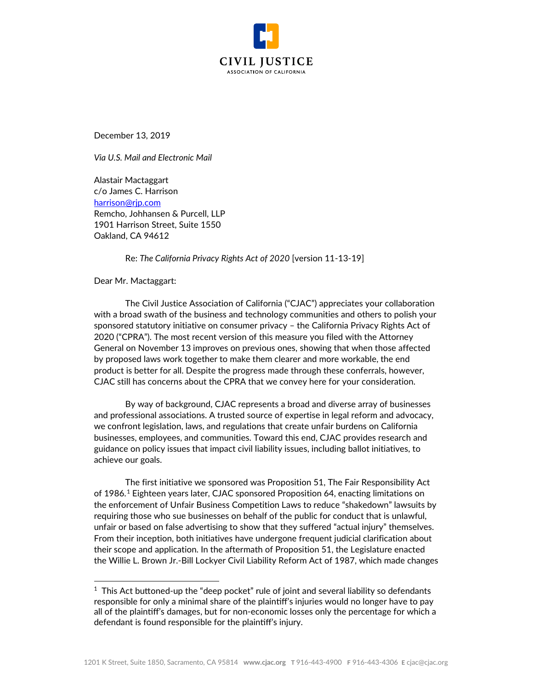

December 13, 2019

*Via U.S. Mail and Electronic Mail*

Alastair Mactaggart c/o James C. Harrison [harrison@rjp.com](mailto:harrison@rjp.com) Remcho, Johhansen & Purcell, LLP 1901 Harrison Street, Suite 1550 Oakland, CA 94612

Re: *The California Privacy Rights Act of 2020* [version 11-13-19]

Dear Mr. Mactaggart:

The Civil Justice Association of California ("CJAC") appreciates your collaboration with a broad swath of the business and technology communities and others to polish your sponsored statutory initiative on consumer privacy – the California Privacy Rights Act of 2020 ("CPRA"). The most recent version of this measure you filed with the Attorney General on November 13 improves on previous ones, showing that when those affected by proposed laws work together to make them clearer and more workable, the end product is better for all. Despite the progress made through these conferrals, however, CJAC still has concerns about the CPRA that we convey here for your consideration.

By way of background, CJAC represents a broad and diverse array of businesses and professional associations. A trusted source of expertise in legal reform and advocacy, we confront legislation, laws, and regulations that create unfair burdens on California businesses, employees, and communities. Toward this end, CJAC provides research and guidance on policy issues that impact civil liability issues, including ballot initiatives, to achieve our goals.

The first initiative we sponsored was Proposition 51, The Fair Responsibility Act of 1986.[1](#page-0-0) Eighteen years later, CJAC sponsored Proposition 64, enacting limitations on the enforcement of Unfair Business Competition Laws to reduce "shakedown" lawsuits by requiring those who sue businesses on behalf of the public for conduct that is unlawful, unfair or based on false advertising to show that they suffered "actual injury" themselves. From their inception, both initiatives have undergone frequent judicial clarification about their scope and application. In the aftermath of Proposition 51, the Legislature enacted the Willie L. Brown Jr.-Bill Lockyer Civil Liability Reform Act of 1987, which made changes

<span id="page-0-0"></span> $1$  This Act buttoned-up the "deep pocket" rule of joint and several liability so defendants responsible for only a minimal share of the plaintiff's injuries would no longer have to pay all of the plaintiff's damages, but for non-economic losses only the percentage for which a defendant is found responsible for the plaintiff's injury.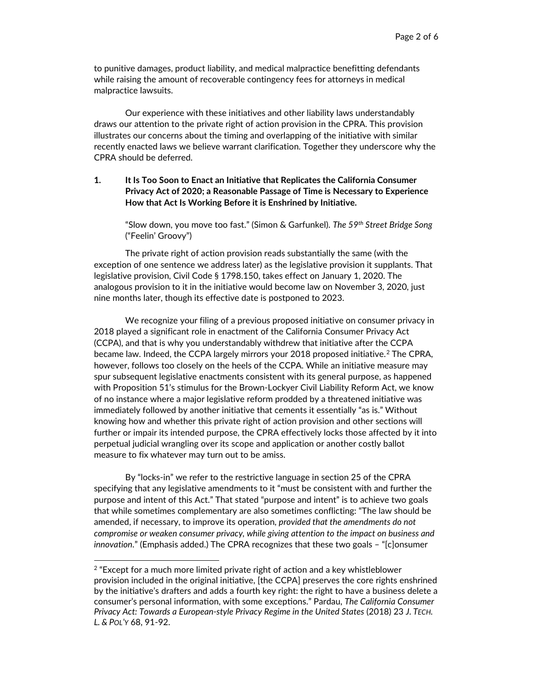to punitive damages, product liability, and medical malpractice benefitting defendants while raising the amount of recoverable contingency fees for attorneys in medical malpractice lawsuits.

Our experience with these initiatives and other liability laws understandably draws our attention to the private right of action provision in the CPRA. This provision illustrates our concerns about the timing and overlapping of the initiative with similar recently enacted laws we believe warrant clarification. Together they underscore why the CPRA should be deferred.

## **1. It Is Too Soon to Enact an Initiative that Replicates the California Consumer Privacy Act of 2020; a Reasonable Passage of Time is Necessary to Experience How that Act Is Working Before it is Enshrined by Initiative.**

"Slow down, you move too fast." (Simon & Garfunkel). *The 59th Street Bridge Song*  ("Feelin' Groovy")

The private right of action provision reads substantially the same (with the exception of one sentence we address later) as the legislative provision it supplants. That legislative provision, Civil Code § 1798.150, takes effect on January 1, 2020. The analogous provision to it in the initiative would become law on November 3, 2020, just nine months later, though its effective date is postponed to 2023.

We recognize your filing of a previous proposed initiative on consumer privacy in 2018 played a significant role in enactment of the California Consumer Privacy Act (CCPA), and that is why you understandably withdrew that initiative after the CCPA became law. Indeed, the CCPA largely mirrors your [2](#page-1-0)018 proposed initiative.<sup>2</sup> The CPRA, however, follows too closely on the heels of the CCPA. While an initiative measure may spur subsequent legislative enactments consistent with its general purpose, as happened with Proposition 51's stimulus for the Brown-Lockyer Civil Liability Reform Act, we know of no instance where a major legislative reform prodded by a threatened initiative was immediately followed by another initiative that cements it essentially "as is." Without knowing how and whether this private right of action provision and other sections will further or impair its intended purpose, the CPRA effectively locks those affected by it into perpetual judicial wrangling over its scope and application or another costly ballot measure to fix whatever may turn out to be amiss.

By "locks-in" we refer to the restrictive language in section 25 of the CPRA specifying that any legislative amendments to it "must be consistent with and further the purpose and intent of this Act." That stated "purpose and intent" is to achieve two goals that while sometimes complementary are also sometimes conflicting: "The law should be amended, if necessary, to improve its operation, *provided that the amendments do not compromise or weaken consumer privacy, while giving attention to the impact on business and innovation*." (Emphasis added.) The CPRA recognizes that these two goals – "[c]onsumer

<span id="page-1-0"></span> $2$  "Except for a much more limited private right of action and a key whistleblower provision included in the original initiative, [the CCPA] preserves the core rights enshrined by the initiative's drafters and adds a fourth key right: the right to have a business delete a consumer's personal information, with some exceptions." Pardau, *The California Consumer Privacy Act: Towards a European-style Privacy Regime in the United States* (2018) 23 *J. TECH. L. & POL'Y* 68, 91-92.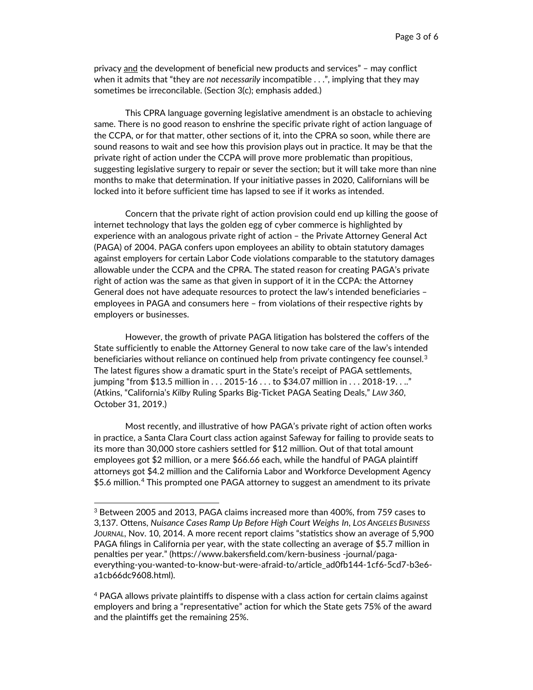privacy and the development of beneficial new products and services" – may conflict when it admits that "they are *not necessarily* incompatible . . .", implying that they may sometimes be irreconcilable. (Section 3(c); emphasis added.)

This CPRA language governing legislative amendment is an obstacle to achieving same. There is no good reason to enshrine the specific private right of action language of the CCPA, or for that matter, other sections of it, into the CPRA so soon, while there are sound reasons to wait and see how this provision plays out in practice. It may be that the private right of action under the CCPA will prove more problematic than propitious, suggesting legislative surgery to repair or sever the section; but it will take more than nine months to make that determination. If your initiative passes in 2020, Californians will be locked into it before sufficient time has lapsed to see if it works as intended.

Concern that the private right of action provision could end up killing the goose of internet technology that lays the golden egg of cyber commerce is highlighted by experience with an analogous private right of action – the Private Attorney General Act (PAGA) of 2004. PAGA confers upon employees an ability to obtain statutory damages against employers for certain Labor Code violations comparable to the statutory damages allowable under the CCPA and the CPRA. The stated reason for creating PAGA's private right of action was the same as that given in support of it in the CCPA: the Attorney General does not have adequate resources to protect the law's intended beneficiaries – employees in PAGA and consumers here – from violations of their respective rights by employers or businesses.

However, the growth of private PAGA litigation has bolstered the coffers of the State sufficiently to enable the Attorney General to now take care of the law's intended beneficiaries without reliance on continued help from private contingency fee counsel.<sup>[3](#page-2-0)</sup> The latest figures show a dramatic spurt in the State's receipt of PAGA settlements, jumping "from \$13.5 million in . . . 2015-16 . . . to \$34.07 million in . . . 2018-19. . .." (Atkins, "California's *Kilby* Ruling Sparks Big-Ticket PAGA Seating Deals," *LAW 360*, October 31, 2019.)

Most recently, and illustrative of how PAGA's private right of action often works in practice, a Santa Clara Court class action against Safeway for failing to provide seats to its more than 30,000 store cashiers settled for \$12 million. Out of that total amount employees got \$2 million, or a mere \$66.66 each, while the handful of PAGA plaintiff attorneys got \$4.2 million and the California Labor and Workforce Development Agency \$5.6 million.<sup>[4](#page-2-1)</sup> This prompted one PAGA attorney to suggest an amendment to its private

<span id="page-2-0"></span><sup>3</sup> Between 2005 and 2013, PAGA claims increased more than 400%, from 759 cases to 3,137. Ottens, *Nuisance Cases Ramp Up Before High Court Weighs In*, *LOS ANGELES BUSINESS JOURNAL*, Nov. 10, 2014. A more recent report claims "statistics show an average of 5,900 PAGA filings in California per year, with the state collecting an average of \$5.7 million in penalties per year." (https://www.bakersfield.com/kern-business -journal/pagaeverything-you-wanted-to-know-but-were-afraid-to/article\_ad0fb144-1cf6-5cd7-b3e6 a1cb66dc9608.html).

<span id="page-2-1"></span><sup>&</sup>lt;sup>4</sup> PAGA allows private plaintiffs to dispense with a class action for certain claims against employers and bring a "representative" action for which the State gets 75% of the award and the plaintiffs get the remaining 25%.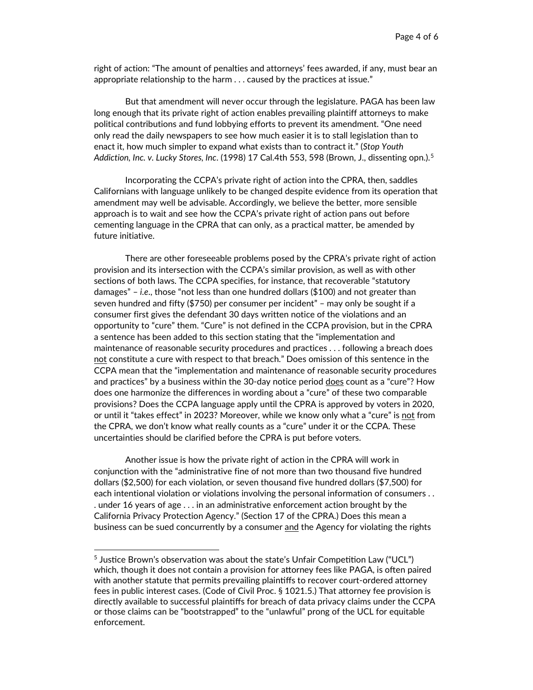right of action: "The amount of penalties and attorneys' fees awarded, if any, must bear an appropriate relationship to the harm . . . caused by the practices at issue."

But that amendment will never occur through the legislature. PAGA has been law long enough that its private right of action enables prevailing plaintiff attorneys to make political contributions and fund lobbying efforts to prevent its amendment. "One need only read the daily newspapers to see how much easier it is to stall legislation than to enact it, how much simpler to expand what exists than to contract it." (*Stop Youth Addiction, Inc. v. Lucky Stores, Inc*. (1998) 17 Cal.4th 553, 598 (Brown, J., dissenting opn.).[5](#page-3-0)

Incorporating the CCPA's private right of action into the CPRA, then, saddles Californians with language unlikely to be changed despite evidence from its operation that amendment may well be advisable. Accordingly, we believe the better, more sensible approach is to wait and see how the CCPA's private right of action pans out before cementing language in the CPRA that can only, as a practical matter, be amended by future initiative.

There are other foreseeable problems posed by the CPRA's private right of action provision and its intersection with the CCPA's similar provision, as well as with other sections of both laws. The CCPA specifies, for instance, that recoverable "statutory damages" – *i.e*., those "not less than one hundred dollars (\$100) and not greater than seven hundred and fifty (\$750) per consumer per incident" – may only be sought if a consumer first gives the defendant 30 days written notice of the violations and an opportunity to "cure" them. "Cure" is not defined in the CCPA provision, but in the CPRA a sentence has been added to this section stating that the "implementation and maintenance of reasonable security procedures and practices . . . following a breach does not constitute a cure with respect to that breach." Does omission of this sentence in the CCPA mean that the "implementation and maintenance of reasonable security procedures and practices" by a business within the 30-day notice period does count as a "cure"? How does one harmonize the differences in wording about a "cure" of these two comparable provisions? Does the CCPA language apply until the CPRA is approved by voters in 2020, or until it "takes effect" in 2023? Moreover, while we know only what a "cure" is not from the CPRA, we don't know what really counts as a "cure" under it or the CCPA. These uncertainties should be clarified before the CPRA is put before voters.

Another issue is how the private right of action in the CPRA will work in conjunction with the "administrative fine of not more than two thousand five hundred dollars (\$2,500) for each violation, or seven thousand five hundred dollars (\$7,500) for each intentional violation or violations involving the personal information of consumers . . . under 16 years of age . . . in an administrative enforcement action brought by the California Privacy Protection Agency." (Section 17 of the CPRA.) Does this mean a business can be sued concurrently by a consumer and the Agency for violating the rights

<span id="page-3-0"></span><sup>&</sup>lt;sup>5</sup> Justice Brown's observation was about the state's Unfair Competition Law ("UCL") which, though it does not contain a provision for attorney fees like PAGA, is often paired with another statute that permits prevailing plaintiffs to recover court-ordered attorney fees in public interest cases. (Code of Civil Proc. § 1021.5.) That attorney fee provision is directly available to successful plaintiffs for breach of data privacy claims under the CCPA or those claims can be "bootstrapped" to the "unlawful" prong of the UCL for equitable enforcement.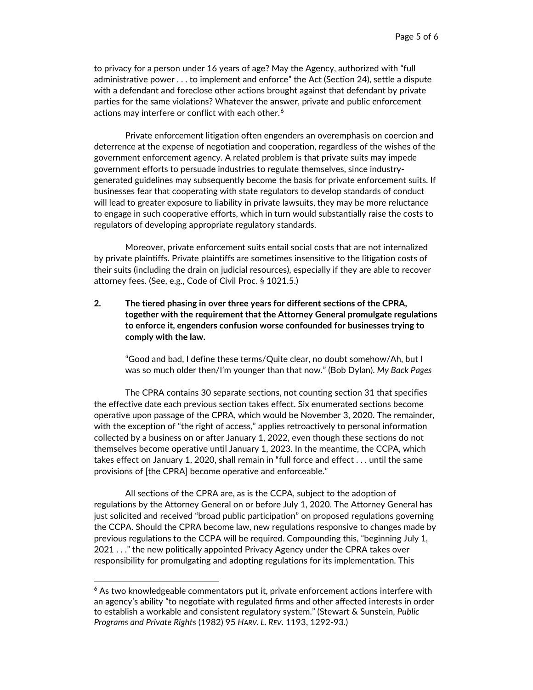to privacy for a person under 16 years of age? May the Agency, authorized with "full administrative power . . . to implement and enforce" the Act (Section 24), settle a dispute with a defendant and foreclose other actions brought against that defendant by private parties for the same violations? Whatever the answer, private and public enforcement actions may interfere or conflict with each other.<sup>[6](#page-4-0)</sup>

Private enforcement litigation often engenders an overemphasis on coercion and deterrence at the expense of negotiation and cooperation, regardless of the wishes of the government enforcement agency. A related problem is that private suits may impede government efforts to persuade industries to regulate themselves, since industrygenerated guidelines may subsequently become the basis for private enforcement suits. If businesses fear that cooperating with state regulators to develop standards of conduct will lead to greater exposure to liability in private lawsuits, they may be more reluctance to engage in such cooperative efforts, which in turn would substantially raise the costs to regulators of developing appropriate regulatory standards.

Moreover, private enforcement suits entail social costs that are not internalized by private plaintiffs. Private plaintiffs are sometimes insensitive to the litigation costs of their suits (including the drain on judicial resources), especially if they are able to recover attorney fees. (See, e.g., Code of Civil Proc. § 1021.5.)

**2. The tiered phasing in over three years for different sections of the CPRA, together with the requirement that the Attorney General promulgate regulations to enforce it, engenders confusion worse confounded for businesses trying to comply with the law.** 

"Good and bad, I define these terms/Quite clear, no doubt somehow/Ah, but I was so much older then/I'm younger than that now." (Bob Dylan). *My Back Pages*

The CPRA contains 30 separate sections, not counting section 31 that specifies the effective date each previous section takes effect. Six enumerated sections become operative upon passage of the CPRA, which would be November 3, 2020. The remainder, with the exception of "the right of access," applies retroactively to personal information collected by a business on or after January 1, 2022, even though these sections do not themselves become operative until January 1, 2023. In the meantime, the CCPA, which takes effect on January 1, 2020, shall remain in "full force and effect . . . until the same provisions of [the CPRA] become operative and enforceable."

All sections of the CPRA are, as is the CCPA, subject to the adoption of regulations by the Attorney General on or before July 1, 2020. The Attorney General has just solicited and received "broad public participation" on proposed regulations governing the CCPA. Should the CPRA become law, new regulations responsive to changes made by previous regulations to the CCPA will be required. Compounding this, "beginning July 1, 2021 . . ." the new politically appointed Privacy Agency under the CPRA takes over responsibility for promulgating and adopting regulations for its implementation. This

<span id="page-4-0"></span> $6$  As two knowledgeable commentators put it, private enforcement actions interfere with an agency's ability "to negotiate with regulated firms and other affected interests in order to establish a workable and consistent regulatory system." (Stewart & Sunstein, *Public Programs and Private Rights* (1982) 95 *HARV. L. REV*. 1193, 1292-93.)